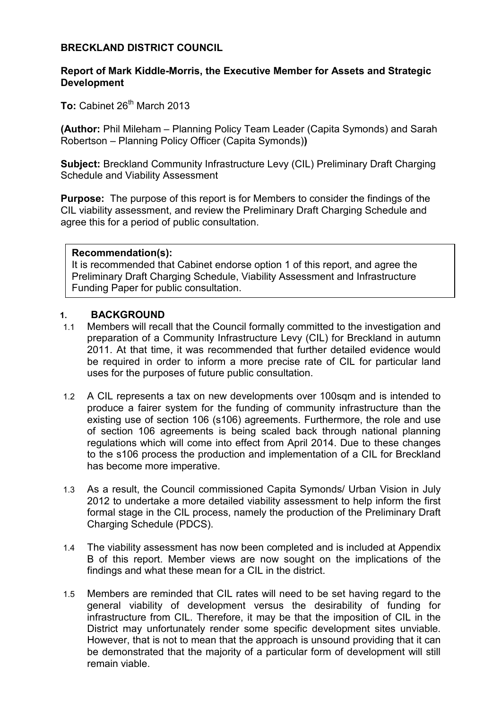### **BRECKLAND DISTRICT COUNCIL**

### **Report of Mark Kiddle-Morris, the Executive Member for Assets and Strategic Development**

To: Cabinet 26<sup>th</sup> March 2013

**(Author:** Phil Mileham – Planning Policy Team Leader (Capita Symonds) and Sarah Robertson – Planning Policy Officer (Capita Symonds)**)** 

**Subject:** Breckland Community Infrastructure Levy (CIL) Preliminary Draft Charging Schedule and Viability Assessment

**Purpose:** The purpose of this report is for Members to consider the findings of the CIL viability assessment, and review the Preliminary Draft Charging Schedule and agree this for a period of public consultation.

#### **Recommendation(s):**

It is recommended that Cabinet endorse option 1 of this report, and agree the Preliminary Draft Charging Schedule, Viability Assessment and Infrastructure Funding Paper for public consultation.

#### **1. BACKGROUND**

- 1.1 Members will recall that the Council formally committed to the investigation and preparation of a Community Infrastructure Levy (CIL) for Breckland in autumn 2011. At that time, it was recommended that further detailed evidence would be required in order to inform a more precise rate of CIL for particular land uses for the purposes of future public consultation.
- 1.2 A CIL represents a tax on new developments over 100sqm and is intended to produce a fairer system for the funding of community infrastructure than the existing use of section 106 (s106) agreements. Furthermore, the role and use of section 106 agreements is being scaled back through national planning regulations which will come into effect from April 2014. Due to these changes to the s106 process the production and implementation of a CIL for Breckland has become more imperative.
- 1.3 As a result, the Council commissioned Capita Symonds/ Urban Vision in July 2012 to undertake a more detailed viability assessment to help inform the first formal stage in the CIL process, namely the production of the Preliminary Draft Charging Schedule (PDCS).
- 1.4 The viability assessment has now been completed and is included at Appendix B of this report. Member views are now sought on the implications of the findings and what these mean for a CIL in the district.
- 1.5 Members are reminded that CIL rates will need to be set having regard to the general viability of development versus the desirability of funding for infrastructure from CIL. Therefore, it may be that the imposition of CIL in the District may unfortunately render some specific development sites unviable. However, that is not to mean that the approach is unsound providing that it can be demonstrated that the majority of a particular form of development will still remain viable.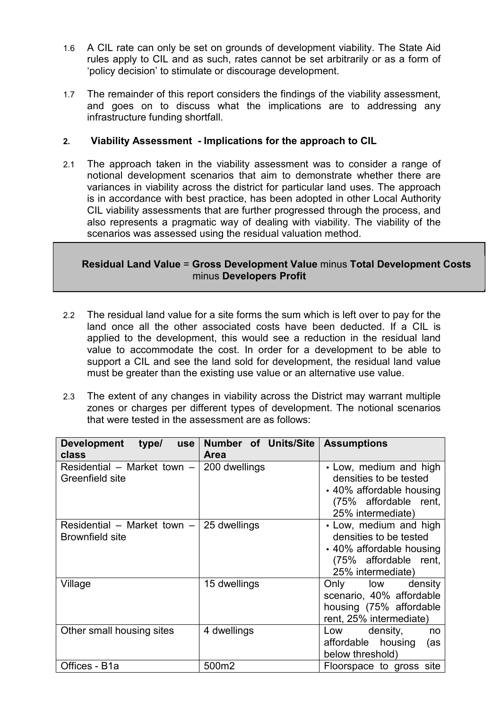- 1.6 A CIL rate can only be set on grounds of development viability. The State Aid rules apply to CIL and as such, rates cannot be set arbitrarily or as a form of 'policy decision' to stimulate or discourage development.
- 1.7 The remainder of this report considers the findings of the viability assessment, and goes on to discuss what the implications are to addressing any infrastructure funding shortfall.

## **2. Viability Assessment - Implications for the approach to CIL**

2.1 The approach taken in the viability assessment was to consider a range of notional development scenarios that aim to demonstrate whether there are variances in viability across the district for particular land uses. The approach is in accordance with best practice, has been adopted in other Local Authority CIL viability assessments that are further progressed through the process, and also represents a pragmatic way of dealing with viability. The viability of the scenarios was assessed using the residual valuation method.

**Residual Land Value** = **Gross Development Value** minus **Total Development Costs**  minus **Developers Profit**

- 2.2 The residual land value for a site forms the sum which is left over to pay for the land once all the other associated costs have been deducted. If a CIL is applied to the development, this would see a reduction in the residual land value to accommodate the cost. In order for a development to be able to support a CIL and see the land sold for development, the residual land value must be greater than the existing use value or an alternative use value.
- 2.3 The extent of any changes in viability across the District may warrant multiple zones or charges per different types of development. The notional scenarios that were tested in the assessment are as follows:

| <b>Development</b><br>type/<br><b>use</b>                          | Number of Units/Site | <b>Assumptions</b>                                                                                                         |
|--------------------------------------------------------------------|----------------------|----------------------------------------------------------------------------------------------------------------------------|
| class                                                              | <b>Area</b>          |                                                                                                                            |
| Residential – Market town – 200 dwellings<br>Greenfield site       |                      | • Low, medium and high<br>densities to be tested<br>• 40% affordable housing<br>(75% affordable rent,<br>25% intermediate) |
| Residential – Market town – 25 dwellings<br><b>Brownfield site</b> |                      | • Low, medium and high<br>densities to be tested<br>• 40% affordable housing<br>(75% affordable rent,<br>25% intermediate) |
| Village                                                            | 15 dwellings         | Only low density<br>scenario, 40% affordable<br>housing (75% affordable<br>rent, 25% intermediate)                         |
| Other small housing sites                                          | 4 dwellings          | density,<br>Low<br>no<br>affordable housing<br>(as<br>below threshold)                                                     |
| Offices - B1a                                                      | 500m2                | Floorspace to gross site                                                                                                   |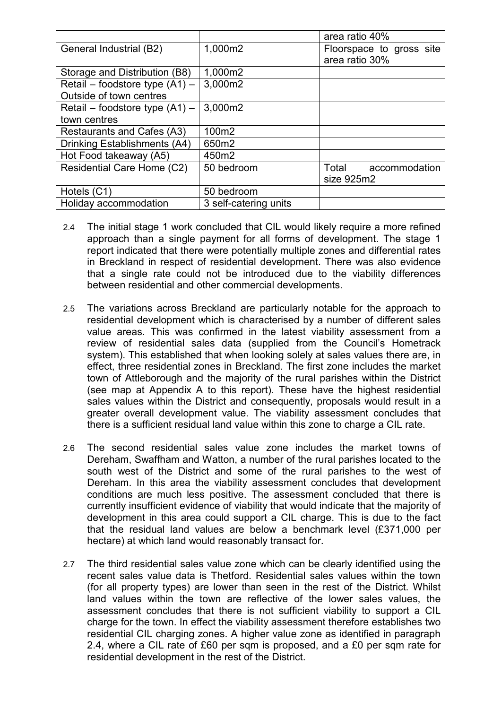|                                  |                       | area ratio 40%           |
|----------------------------------|-----------------------|--------------------------|
| General Industrial (B2)          | 1,000m2               | Floorspace to gross site |
|                                  |                       | area ratio 30%           |
| Storage and Distribution (B8)    | 1,000m2               |                          |
| Retail – foodstore type $(A1)$ – | 3,000m2               |                          |
| Outside of town centres          |                       |                          |
| Retail – foodstore type $(A1)$ – | 3,000m2               |                          |
| town centres                     |                       |                          |
| Restaurants and Cafes (A3)       | 100m2                 |                          |
| Drinking Establishments (A4)     | 650m2                 |                          |
| Hot Food takeaway (A5)           | 450m2                 |                          |
| Residential Care Home (C2)       | 50 bedroom            | Total<br>accommodation   |
|                                  |                       | size 925m2               |
| Hotels (C1)                      | 50 bedroom            |                          |
| Holiday accommodation            | 3 self-catering units |                          |

- 2.4 The initial stage 1 work concluded that CIL would likely require a more refined approach than a single payment for all forms of development. The stage 1 report indicated that there were potentially multiple zones and differential rates in Breckland in respect of residential development. There was also evidence that a single rate could not be introduced due to the viability differences between residential and other commercial developments.
- 2.5 The variations across Breckland are particularly notable for the approach to residential development which is characterised by a number of different sales value areas. This was confirmed in the latest viability assessment from a review of residential sales data (supplied from the Council's Hometrack system). This established that when looking solely at sales values there are, in effect, three residential zones in Breckland. The first zone includes the market town of Attleborough and the majority of the rural parishes within the District (see map at Appendix A to this report). These have the highest residential sales values within the District and consequently, proposals would result in a greater overall development value. The viability assessment concludes that there is a sufficient residual land value within this zone to charge a CIL rate.
- 2.6 The second residential sales value zone includes the market towns of Dereham, Swaffham and Watton, a number of the rural parishes located to the south west of the District and some of the rural parishes to the west of Dereham. In this area the viability assessment concludes that development conditions are much less positive. The assessment concluded that there is currently insufficient evidence of viability that would indicate that the majority of development in this area could support a CIL charge. This is due to the fact that the residual land values are below a benchmark level (£371,000 per hectare) at which land would reasonably transact for.
- 2.7 The third residential sales value zone which can be clearly identified using the recent sales value data is Thetford. Residential sales values within the town (for all property types) are lower than seen in the rest of the District. Whilst land values within the town are reflective of the lower sales values, the assessment concludes that there is not sufficient viability to support a CIL charge for the town. In effect the viability assessment therefore establishes two residential CIL charging zones. A higher value zone as identified in paragraph 2.4, where a CIL rate of £60 per sqm is proposed, and a £0 per sqm rate for residential development in the rest of the District.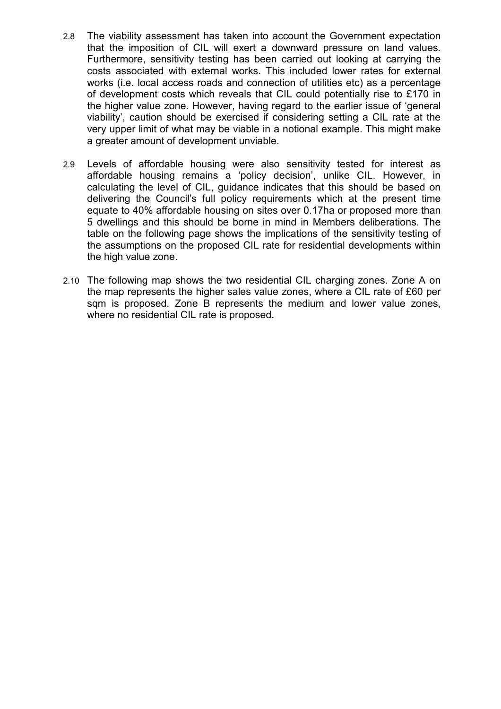- 2.8 The viability assessment has taken into account the Government expectation that the imposition of CIL will exert a downward pressure on land values. Furthermore, sensitivity testing has been carried out looking at carrying the costs associated with external works. This included lower rates for external works (i.e. local access roads and connection of utilities etc) as a percentage of development costs which reveals that CIL could potentially rise to £170 in the higher value zone. However, having regard to the earlier issue of 'general viability', caution should be exercised if considering setting a CIL rate at the very upper limit of what may be viable in a notional example. This might make a greater amount of development unviable.
- 2.9 Levels of affordable housing were also sensitivity tested for interest as affordable housing remains a 'policy decision', unlike CIL. However, in calculating the level of CIL, guidance indicates that this should be based on delivering the Council's full policy requirements which at the present time equate to 40% affordable housing on sites over 0.17ha or proposed more than 5 dwellings and this should be borne in mind in Members deliberations. The table on the following page shows the implications of the sensitivity testing of the assumptions on the proposed CIL rate for residential developments within the high value zone.
- 2.10 The following map shows the two residential CIL charging zones. Zone A on the map represents the higher sales value zones, where a CIL rate of £60 per sqm is proposed. Zone B represents the medium and lower value zones, where no residential CIL rate is proposed.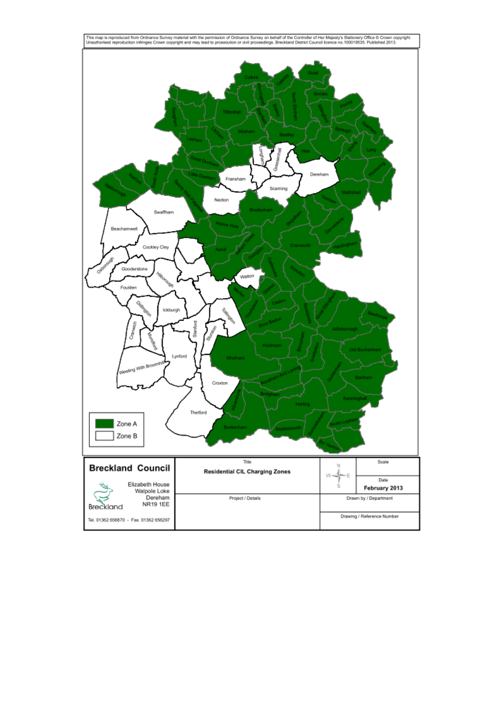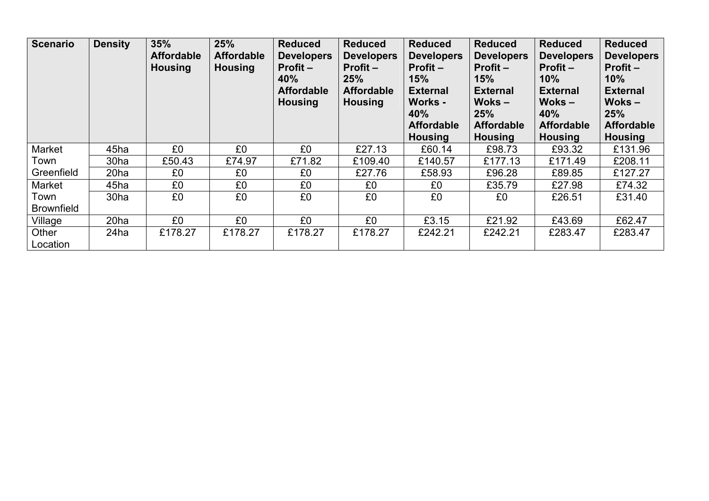| <b>Scenario</b>           | <b>Density</b>   | 35%<br><b>Affordable</b><br><b>Housing</b> | 25%<br><b>Affordable</b><br><b>Housing</b> | <b>Reduced</b><br><b>Developers</b><br>$Profit -$<br>40%<br><b>Affordable</b><br><b>Housing</b> | <b>Reduced</b><br><b>Developers</b><br>Profit $-$<br>25%<br><b>Affordable</b><br><b>Housing</b> | <b>Reduced</b><br><b>Developers</b><br>Profit -<br><b>15%</b><br><b>External</b><br>Works -<br>40%<br><b>Affordable</b><br><b>Housing</b> | <b>Reduced</b><br><b>Developers</b><br>$Profit -$<br>15%<br><b>External</b><br>$Woks -$<br>25%<br><b>Affordable</b><br><b>Housing</b> | <b>Reduced</b><br><b>Developers</b><br>$Profit -$<br>10%<br><b>External</b><br>$Woks -$<br>40%<br><b>Affordable</b><br><b>Housing</b> | <b>Reduced</b><br><b>Developers</b><br>$Profit -$<br>10%<br><b>External</b><br>$Woks -$<br>25%<br><b>Affordable</b><br><b>Housing</b> |
|---------------------------|------------------|--------------------------------------------|--------------------------------------------|-------------------------------------------------------------------------------------------------|-------------------------------------------------------------------------------------------------|-------------------------------------------------------------------------------------------------------------------------------------------|---------------------------------------------------------------------------------------------------------------------------------------|---------------------------------------------------------------------------------------------------------------------------------------|---------------------------------------------------------------------------------------------------------------------------------------|
| Market                    | 45ha             | £0                                         | £0                                         | £0                                                                                              | £27.13                                                                                          | £60.14                                                                                                                                    | £98.73                                                                                                                                | £93.32                                                                                                                                | £131.96                                                                                                                               |
| Town                      | 30ha             | £50.43                                     | £74.97                                     | £71.82                                                                                          | £109.40                                                                                         | £140.57                                                                                                                                   | £177.13                                                                                                                               | £171.49                                                                                                                               | £208.11                                                                                                                               |
| Greenfield                | 20 <sub>ha</sub> | £0                                         | £0                                         | £0                                                                                              | £27.76                                                                                          | £58.93                                                                                                                                    | £96.28                                                                                                                                | £89.85                                                                                                                                | £127.27                                                                                                                               |
| Market                    | 45ha             | £0                                         | £0                                         | £0                                                                                              | £0                                                                                              | £0                                                                                                                                        | £35.79                                                                                                                                | £27.98                                                                                                                                | £74.32                                                                                                                                |
| Town<br><b>Brownfield</b> | 30ha             | £0                                         | £0                                         | £0                                                                                              | £0                                                                                              | £0                                                                                                                                        | £0                                                                                                                                    | £26.51                                                                                                                                | £31.40                                                                                                                                |
| Village                   | 20 <sub>ha</sub> | £0                                         | £0                                         | £0                                                                                              | £0                                                                                              | £3.15                                                                                                                                     | £21.92                                                                                                                                | £43.69                                                                                                                                | £62.47                                                                                                                                |
| Other<br>Location         | 24ha             | £178.27                                    | £178.27                                    | £178.27                                                                                         | £178.27                                                                                         | £242.21                                                                                                                                   | £242.21                                                                                                                               | £283.47                                                                                                                               | £283.47                                                                                                                               |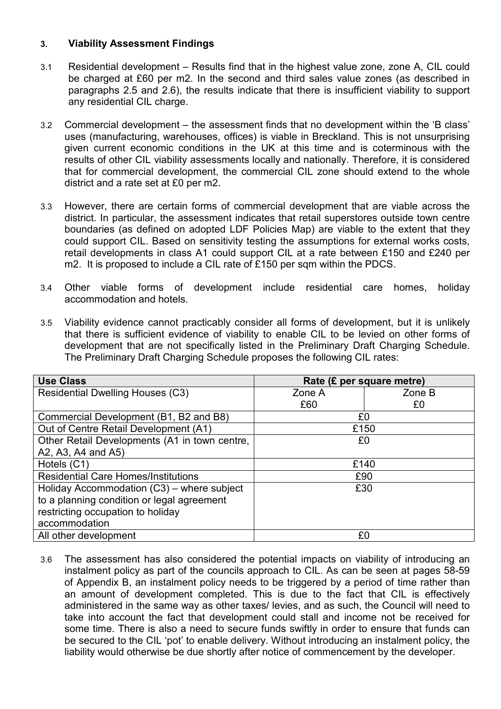### **3. Viability Assessment Findings**

- 3.1 Residential development Results find that in the highest value zone, zone A, CIL could be charged at £60 per m2. In the second and third sales value zones (as described in paragraphs 2.5 and 2.6), the results indicate that there is insufficient viability to support any residential CIL charge.
- 3.2 Commercial development the assessment finds that no development within the 'B class' uses (manufacturing, warehouses, offices) is viable in Breckland. This is not unsurprising given current economic conditions in the UK at this time and is coterminous with the results of other CIL viability assessments locally and nationally. Therefore, it is considered that for commercial development, the commercial CIL zone should extend to the whole district and a rate set at £0 per m2.
- 3.3 However, there are certain forms of commercial development that are viable across the district. In particular, the assessment indicates that retail superstores outside town centre boundaries (as defined on adopted LDF Policies Map) are viable to the extent that they could support CIL. Based on sensitivity testing the assumptions for external works costs, retail developments in class A1 could support CIL at a rate between £150 and £240 per m2. It is proposed to include a CIL rate of £150 per sqm within the PDCS.
- 3.4 Other viable forms of development include residential care homes, holiday accommodation and hotels.
- 3.5 Viability evidence cannot practicably consider all forms of development, but it is unlikely that there is sufficient evidence of viability to enable CIL to be levied on other forms of development that are not specifically listed in the Preliminary Draft Charging Schedule. The Preliminary Draft Charging Schedule proposes the following CIL rates:

| <b>Use Class</b>                              | Rate (£ per square metre) |        |  |  |
|-----------------------------------------------|---------------------------|--------|--|--|
| <b>Residential Dwelling Houses (C3)</b>       | Zone A                    | Zone B |  |  |
|                                               | £60                       | £0     |  |  |
| Commercial Development (B1, B2 and B8)        | £0                        |        |  |  |
| Out of Centre Retail Development (A1)         | £150                      |        |  |  |
| Other Retail Developments (A1 in town centre, | £0                        |        |  |  |
| A2, A3, A4 and A5)                            |                           |        |  |  |
| Hotels (C1)                                   | £140                      |        |  |  |
| <b>Residential Care Homes/Institutions</b>    | £90                       |        |  |  |
| Holiday Accommodation (C3) – where subject    | £30                       |        |  |  |
| to a planning condition or legal agreement    |                           |        |  |  |
| restricting occupation to holiday             |                           |        |  |  |
| accommodation                                 |                           |        |  |  |
| All other development                         | £0                        |        |  |  |

3.6 The assessment has also considered the potential impacts on viability of introducing an instalment policy as part of the councils approach to CIL. As can be seen at pages 58-59 of Appendix B, an instalment policy needs to be triggered by a period of time rather than an amount of development completed. This is due to the fact that CIL is effectively administered in the same way as other taxes/ levies, and as such, the Council will need to take into account the fact that development could stall and income not be received for some time. There is also a need to secure funds swiftly in order to ensure that funds can be secured to the CIL 'pot' to enable delivery. Without introducing an instalment policy, the liability would otherwise be due shortly after notice of commencement by the developer.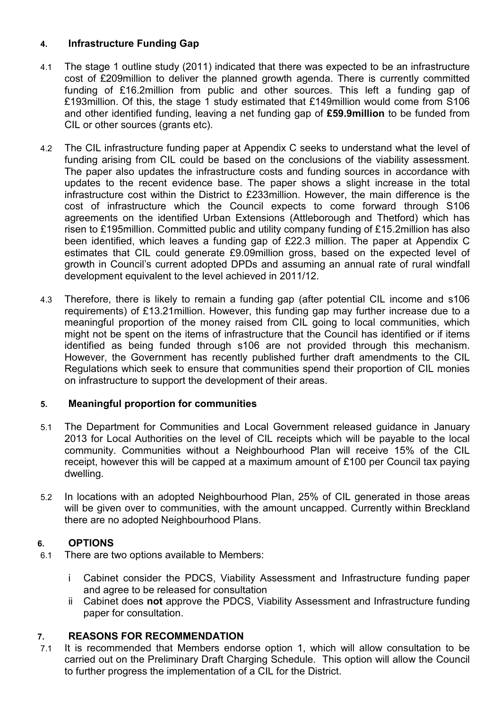# **4. Infrastructure Funding Gap**

- 4.1 The stage 1 outline study (2011) indicated that there was expected to be an infrastructure cost of £209million to deliver the planned growth agenda. There is currently committed funding of £16.2million from public and other sources. This left a funding gap of £193million. Of this, the stage 1 study estimated that £149million would come from S106 and other identified funding, leaving a net funding gap of **£59.9million** to be funded from CIL or other sources (grants etc).
- 4.2 The CIL infrastructure funding paper at Appendix C seeks to understand what the level of funding arising from CIL could be based on the conclusions of the viability assessment. The paper also updates the infrastructure costs and funding sources in accordance with updates to the recent evidence base. The paper shows a slight increase in the total infrastructure cost within the District to £233million. However, the main difference is the cost of infrastructure which the Council expects to come forward through S106 agreements on the identified Urban Extensions (Attleborough and Thetford) which has risen to £195million. Committed public and utility company funding of £15.2million has also been identified, which leaves a funding gap of £22.3 million. The paper at Appendix C estimates that CIL could generate £9.09million gross, based on the expected level of growth in Council's current adopted DPDs and assuming an annual rate of rural windfall development equivalent to the level achieved in 2011/12.
- 4.3 Therefore, there is likely to remain a funding gap (after potential CIL income and s106 requirements) of £13.21million. However, this funding gap may further increase due to a meaningful proportion of the money raised from CIL going to local communities, which might not be spent on the items of infrastructure that the Council has identified or if items identified as being funded through s106 are not provided through this mechanism. However, the Government has recently published further draft amendments to the CIL Regulations which seek to ensure that communities spend their proportion of CIL monies on infrastructure to support the development of their areas.

# **5. Meaningful proportion for communities**

- 5.1 The Department for Communities and Local Government released guidance in January 2013 for Local Authorities on the level of CIL receipts which will be payable to the local community. Communities without a Neighbourhood Plan will receive 15% of the CIL receipt, however this will be capped at a maximum amount of £100 per Council tax paying dwelling.
- 5.2 In locations with an adopted Neighbourhood Plan, 25% of CIL generated in those areas will be given over to communities, with the amount uncapped. Currently within Breckland there are no adopted Neighbourhood Plans.

# **6. OPTIONS**

- 6.1 There are two options available to Members:
	- i Cabinet consider the PDCS, Viability Assessment and Infrastructure funding paper and agree to be released for consultation
	- ii Cabinet does **not** approve the PDCS, Viability Assessment and Infrastructure funding paper for consultation.

# **7. REASONS FOR RECOMMENDATION**

7.1 It is recommended that Members endorse option 1, which will allow consultation to be carried out on the Preliminary Draft Charging Schedule. This option will allow the Council to further progress the implementation of a CIL for the District.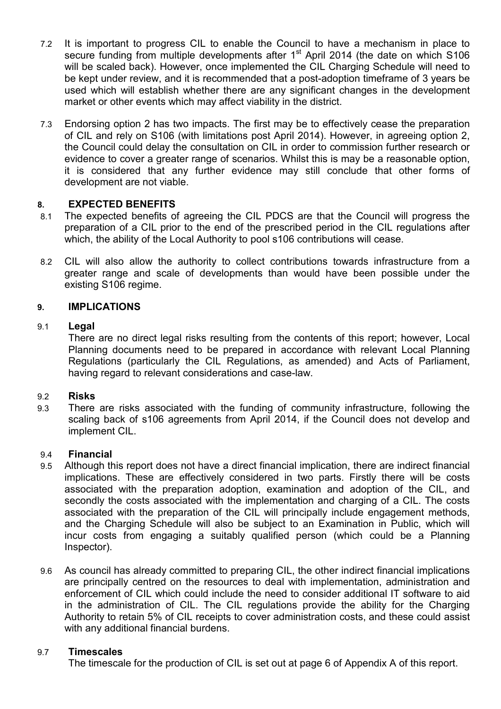- 7.2 It is important to progress CIL to enable the Council to have a mechanism in place to secure funding from multiple developments after  $1<sup>st</sup>$  April 2014 (the date on which S106 will be scaled back). However, once implemented the CIL Charging Schedule will need to be kept under review, and it is recommended that a post-adoption timeframe of 3 years be used which will establish whether there are any significant changes in the development market or other events which may affect viability in the district.
- 7.3 Endorsing option 2 has two impacts. The first may be to effectively cease the preparation of CIL and rely on S106 (with limitations post April 2014). However, in agreeing option 2, the Council could delay the consultation on CIL in order to commission further research or evidence to cover a greater range of scenarios. Whilst this is may be a reasonable option, it is considered that any further evidence may still conclude that other forms of development are not viable.

### **8. EXPECTED BENEFITS**

- 8.1 The expected benefits of agreeing the CIL PDCS are that the Council will progress the preparation of a CIL prior to the end of the prescribed period in the CIL regulations after which, the ability of the Local Authority to pool s106 contributions will cease.
- 8.2 CIL will also allow the authority to collect contributions towards infrastructure from a greater range and scale of developments than would have been possible under the existing S106 regime.

### **9. IMPLICATIONS**

#### 9.1 **Legal**

There are no direct legal risks resulting from the contents of this report; however, Local Planning documents need to be prepared in accordance with relevant Local Planning Regulations (particularly the CIL Regulations, as amended) and Acts of Parliament, having regard to relevant considerations and case-law.

#### 9.2 **Risks**

9.3 There are risks associated with the funding of community infrastructure, following the scaling back of s106 agreements from April 2014, if the Council does not develop and implement CIL.

#### 9.4 **Financial**

- 9.5 Although this report does not have a direct financial implication, there are indirect financial implications. These are effectively considered in two parts. Firstly there will be costs associated with the preparation adoption, examination and adoption of the CIL, and secondly the costs associated with the implementation and charging of a CIL. The costs associated with the preparation of the CIL will principally include engagement methods, and the Charging Schedule will also be subject to an Examination in Public, which will incur costs from engaging a suitably qualified person (which could be a Planning Inspector).
- 9.6 As council has already committed to preparing CIL, the other indirect financial implications are principally centred on the resources to deal with implementation, administration and enforcement of CIL which could include the need to consider additional IT software to aid in the administration of CIL. The CIL regulations provide the ability for the Charging Authority to retain 5% of CIL receipts to cover administration costs, and these could assist with any additional financial burdens.

#### 9.7 **Timescales**

The timescale for the production of CIL is set out at page 6 of Appendix A of this report.